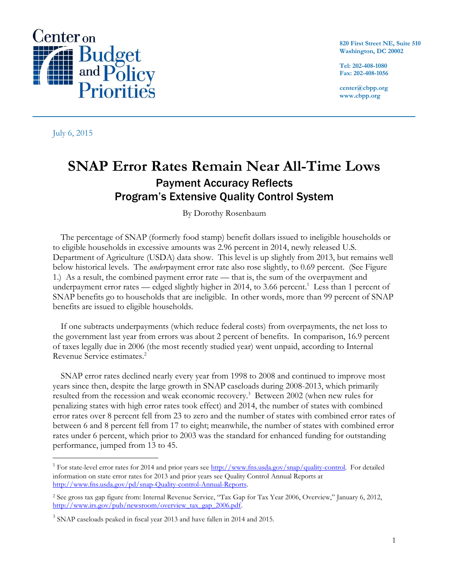

**820 First Street NE, Suite 510 Washington, DC 20002**

**Tel: 202-408-1080 Fax: 202-408-1056**

**center@cbpp.org www.cbpp.org**

July 6, 2015

 $\overline{a}$ 

# **SNAP Error Rates Remain Near All-Time Lows** Payment Accuracy Reflects Program's Extensive Quality Control System

By Dorothy Rosenbaum

The percentage of SNAP (formerly food stamp) benefit dollars issued to ineligible households or to eligible households in excessive amounts was 2.96 percent in 2014, newly released U.S. Department of Agriculture (USDA) data show. This level is up slightly from 2013, but remains well below historical levels. The *under*payment error rate also rose slightly, to 0.69 percent. (See Figure 1.) As a result, the combined payment error rate — that is, the sum of the overpayment and underpayment error rates — edged slightly higher in 2014, to 3.66 percent.<sup>1</sup> Less than 1 percent of SNAP benefits go to households that are ineligible. In other words, more than 99 percent of SNAP benefits are issued to eligible households.

If one subtracts underpayments (which reduce federal costs) from overpayments, the net loss to the government last year from errors was about 2 percent of benefits. In comparison, 16.9 percent of taxes legally due in 2006 (the most recently studied year) went unpaid, according to Internal Revenue Service estimates. 2

SNAP error rates declined nearly every year from 1998 to 2008 and continued to improve most years since then, despite the large growth in SNAP caseloads during 2008-2013, which primarily resulted from the recession and weak economic recovery.<sup>3</sup> Between 2002 (when new rules for penalizing states with high error rates took effect) and 2014, the number of states with combined error rates over 8 percent fell from 23 to zero and the number of states with combined error rates of between 6 and 8 percent fell from 17 to eight; meanwhile, the number of states with combined error rates under 6 percent, which prior to 2003 was the standard for enhanced funding for outstanding performance, jumped from 13 to 45.

<sup>&</sup>lt;sup>1</sup> For state-level error rates for 2014 and prior years see [http://www.fns.usda.gov/snap/quality-control.](http://www.fns.usda.gov/snap/quality-control) For detailed information on state error rates for 2013 and prior years see Quality Control Annual Reports at [http://www.fns.usda.gov/pd/snap-Quality-control-Annual-Reports.](http://www.fns.usda.gov/pd/snap-Quality-control-Annual-Reports)

<sup>2</sup> See gross tax gap figure from: Internal Revenue Service, "Tax Gap for Tax Year 2006, Overview," January 6, 2012, [http://www.irs.gov/pub/newsroom/overview\\_tax\\_gap\\_2006.pdf.](http://www.irs.gov/pub/newsroom/overview_tax_gap_2006.pdf)

<sup>&</sup>lt;sup>3</sup> SNAP caseloads peaked in fiscal year 2013 and have fallen in 2014 and 2015.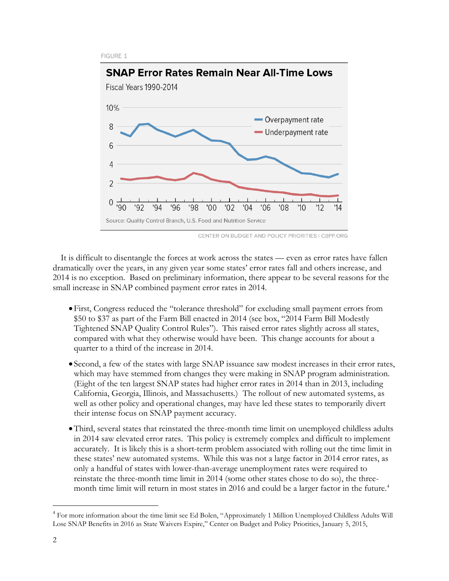FIGURE 1



CENTER ON BUDGET AND POLICY PRIORITIES | CBPP.ORG

It is difficult to disentangle the forces at work across the states — even as error rates have fallen dramatically over the years, in any given year some states' error rates fall and others increase, and 2014 is no exception. Based on preliminary information, there appear to be several reasons for the small increase in SNAP combined payment error rates in 2014.

- First, Congress reduced the "tolerance threshold" for excluding small payment errors from \$50 to \$37 as part of the Farm Bill enacted in 2014 (see box, "2014 Farm Bill Modestly Tightened SNAP Quality Control Rules"). This raised error rates slightly across all states, compared with what they otherwise would have been. This change accounts for about a quarter to a third of the increase in 2014.
- Second, a few of the states with large SNAP issuance saw modest increases in their error rates, which may have stemmed from changes they were making in SNAP program administration. (Eight of the ten largest SNAP states had higher error rates in 2014 than in 2013, including California, Georgia, Illinois, and Massachusetts.) The rollout of new automated systems, as well as other policy and operational changes, may have led these states to temporarily divert their intense focus on SNAP payment accuracy.
- Third, several states that reinstated the three-month time limit on unemployed childless adults in 2014 saw elevated error rates. This policy is extremely complex and difficult to implement accurately. It is likely this is a short-term problem associated with rolling out the time limit in these states' new automated systems. While this was not a large factor in 2014 error rates, as only a handful of states with lower-than-average unemployment rates were required to reinstate the three-month time limit in 2014 (some other states chose to do so), the threemonth time limit will return in most states in 2016 and could be a larger factor in the future.<sup>4</sup>

<sup>&</sup>lt;sup>4</sup> For more information about the time limit see Ed Bolen, "Approximately 1 Million Unemployed Childless Adults Will Lose SNAP Benefits in 2016 as State Waivers Expire," Center on Budget and Policy Priorities, January 5, 2015,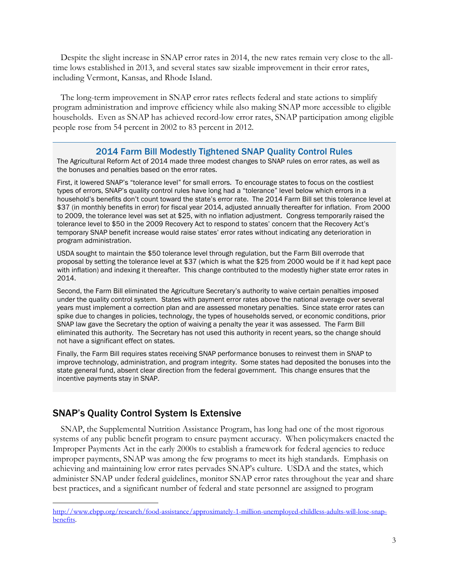Despite the slight increase in SNAP error rates in 2014, the new rates remain very close to the alltime lows established in 2013, and several states saw sizable improvement in their error rates, including Vermont, Kansas, and Rhode Island.

The long-term improvement in SNAP error rates reflects federal and state actions to simplify program administration and improve efficiency while also making SNAP more accessible to eligible households. Even as SNAP has achieved record-low error rates, SNAP participation among eligible people rose from 54 percent in 2002 to 83 percent in 2012.

### 2014 Farm Bill Modestly Tightened SNAP Quality Control Rules

The Agricultural Reform Act of 2014 made three modest changes to SNAP rules on error rates, as well as the bonuses and penalties based on the error rates.

First, it lowered SNAP's "tolerance level" for small errors. To encourage states to focus on the costliest types of errors, SNAP's quality control rules have long had a "tolerance" level below which errors in a household's benefits don't count toward the state's error rate. The 2014 Farm Bill set this tolerance level at \$37 (in monthly benefits in error) for fiscal year 2014, adjusted annually thereafter for inflation. From 2000 to 2009, the tolerance level was set at \$25, with no inflation adjustment. Congress temporarily raised the tolerance level to \$50 in the 2009 Recovery Act to respond to states' concern that the Recovery Act's temporary SNAP benefit increase would raise states' error rates without indicating any deterioration in program administration.

USDA sought to maintain the \$50 tolerance level through regulation, but the Farm Bill overrode that proposal by setting the tolerance level at \$37 (which is what the \$25 from 2000 would be if it had kept pace with inflation) and indexing it thereafter. This change contributed to the modestly higher state error rates in 2014.

Second, the Farm Bill eliminated the Agriculture Secretary's authority to waive certain penalties imposed under the quality control system. States with payment error rates above the national average over several years must implement a correction plan and are assessed monetary penalties. Since state error rates can spike due to changes in policies, technology, the types of households served, or economic conditions, prior SNAP law gave the Secretary the option of waiving a penalty the year it was assessed. The Farm Bill eliminated this authority. The Secretary has not used this authority in recent years, so the change should not have a significant effect on states.

Finally, the Farm Bill requires states receiving SNAP performance bonuses to reinvest them in SNAP to improve technology, administration, and program integrity. Some states had deposited the bonuses into the state general fund, absent clear direction from the federal government. This change ensures that the incentive payments stay in SNAP.

## SNAP's Quality Control System Is Extensive

 $\overline{a}$ 

SNAP, the Supplemental Nutrition Assistance Program, has long had one of the most rigorous systems of any public benefit program to ensure payment accuracy. When policymakers enacted the Improper Payments Act in the early 2000s to establish a framework for federal agencies to reduce improper payments, SNAP was among the few programs to meet its high standards. Emphasis on achieving and maintaining low error rates pervades SNAP's culture. USDA and the states, which administer SNAP under federal guidelines, monitor SNAP error rates throughout the year and share best practices, and a significant number of federal and state personnel are assigned to program

[http://www.cbpp.org/research/food-assistance/approximately-1-million-unemployed-childless-adults-will-lose-snap](http://www.cbpp.org/research/food-assistance/approximately-1-million-unemployed-childless-adults-will-lose-snap-benefits)[benefits.](http://www.cbpp.org/research/food-assistance/approximately-1-million-unemployed-childless-adults-will-lose-snap-benefits)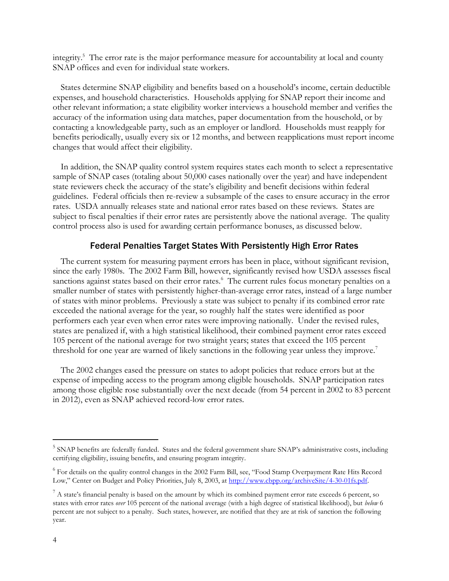integrity.<sup>5</sup> The error rate is the major performance measure for accountability at local and county SNAP offices and even for individual state workers.

States determine SNAP eligibility and benefits based on a household's income, certain deductible expenses, and household characteristics. Households applying for SNAP report their income and other relevant information; a state eligibility worker interviews a household member and verifies the accuracy of the information using data matches, paper documentation from the household, or by contacting a knowledgeable party, such as an employer or landlord. Households must reapply for benefits periodically, usually every six or 12 months, and between reapplications must report income changes that would affect their eligibility.

In addition, the SNAP quality control system requires states each month to select a representative sample of SNAP cases (totaling about 50,000 cases nationally over the year) and have independent state reviewers check the accuracy of the state's eligibility and benefit decisions within federal guidelines. Federal officials then re-review a subsample of the cases to ensure accuracy in the error rates. USDA annually releases state and national error rates based on these reviews. States are subject to fiscal penalties if their error rates are persistently above the national average. The quality control process also is used for awarding certain performance bonuses, as discussed below.

#### Federal Penalties Target States With Persistently High Error Rates

The current system for measuring payment errors has been in place, without significant revision, since the early 1980s. The 2002 Farm Bill, however, significantly revised how USDA assesses fiscal sanctions against states based on their error rates.<sup>6</sup> The current rules focus monetary penalties on a smaller number of states with persistently higher-than-average error rates, instead of a large number of states with minor problems. Previously a state was subject to penalty if its combined error rate exceeded the national average for the year, so roughly half the states were identified as poor performers each year even when error rates were improving nationally. Under the revised rules, states are penalized if, with a high statistical likelihood, their combined payment error rates exceed 105 percent of the national average for two straight years; states that exceed the 105 percent threshold for one year are warned of likely sanctions in the following year unless they improve.<sup>7</sup>

The 2002 changes eased the pressure on states to adopt policies that reduce errors but at the expense of impeding access to the program among eligible households. SNAP participation rates among those eligible rose substantially over the next decade (from 54 percent in 2002 to 83 percent in 2012), even as SNAP achieved record-low error rates.

<sup>&</sup>lt;sup>5</sup> SNAP benefits are federally funded. States and the federal government share SNAP's administrative costs, including certifying eligibility, issuing benefits, and ensuring program integrity.

<sup>&</sup>lt;sup>6</sup> For details on the quality control changes in the 2002 Farm Bill, see, "Food Stamp Overpayment Rate Hits Record Low," Center on Budget and Policy Priorities, July 8, 2003, at [http://www.cbpp.org/archiveSite/4-30-01fs.pdf.](http://www.cbpp.org/archiveSite/4-30-01fs.pdf)

 $^7$  A state's financial penalty is based on the amount by which its combined payment error rate exceeds 6 percent, so states with error rates *over* 105 percent of the national average (with a high degree of statistical likelihood), but *below* 6 percent are not subject to a penalty. Such states, however, are notified that they are at risk of sanction the following year.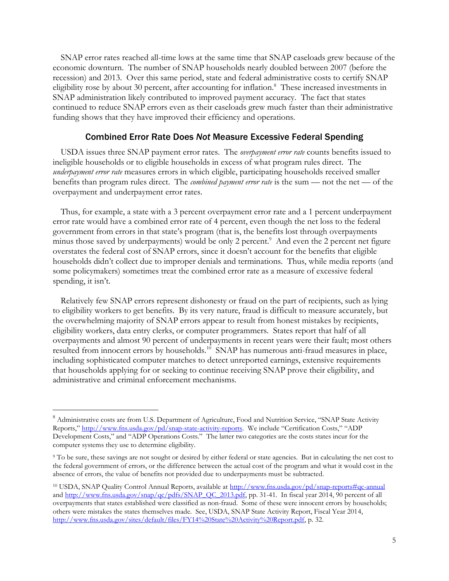SNAP error rates reached all-time lows at the same time that SNAP caseloads grew because of the economic downturn. The number of SNAP households nearly doubled between 2007 (before the recession) and 2013. Over this same period, state and federal administrative costs to certify SNAP eligibility rose by about 30 percent, after accounting for inflation.<sup>8</sup> These increased investments in SNAP administration likely contributed to improved payment accuracy. The fact that states continued to reduce SNAP errors even as their caseloads grew much faster than their administrative funding shows that they have improved their efficiency and operations.

## Combined Error Rate Does *Not* Measure Excessive Federal Spending

USDA issues three SNAP payment error rates. The *overpayment error rate* counts benefits issued to ineligible households or to eligible households in excess of what program rules direct. The *underpayment error rate* measures errors in which eligible, participating households received smaller benefits than program rules direct. The *combined payment error rate* is the sum — not the net — of the overpayment and underpayment error rates.

Thus, for example, a state with a 3 percent overpayment error rate and a 1 percent underpayment error rate would have a combined error rate of 4 percent, even though the net loss to the federal government from errors in that state's program (that is, the benefits lost through overpayments minus those saved by underpayments) would be only 2 percent.<sup>9</sup> And even the 2 percent net figure overstates the federal cost of SNAP errors, since it doesn't account for the benefits that eligible households didn't collect due to improper denials and terminations. Thus, while media reports (and some policymakers) sometimes treat the combined error rate as a measure of excessive federal spending, it isn't.

Relatively few SNAP errors represent dishonesty or fraud on the part of recipients, such as lying to eligibility workers to get benefits. By its very nature, fraud is difficult to measure accurately, but the overwhelming majority of SNAP errors appear to result from honest mistakes by recipients, eligibility workers, data entry clerks, or computer programmers. States report that half of all overpayments and almost 90 percent of underpayments in recent years were their fault; most others resulted from innocent errors by households.<sup>10</sup> SNAP has numerous anti-fraud measures in place, including sophisticated computer matches to detect unreported earnings, extensive requirements that households applying for or seeking to continue receiving SNAP prove their eligibility, and administrative and criminal enforcement mechanisms.

<sup>&</sup>lt;sup>8</sup> Administrative costs are from U.S. Department of Agriculture, Food and Nutrition Service, "SNAP State Activity Reports," [http://www.fns.usda.gov/pd/snap-state-activity-reports.](http://www.fns.usda.gov/pd/snap-state-activity-reports) We include "Certification Costs," "ADP Development Costs," and "ADP Operations Costs." The latter two categories are the costs states incur for the computer systems they use to determine eligibility.

<sup>9</sup> To be sure, these savings are not sought or desired by either federal or state agencies. But in calculating the net cost to the federal government of errors, or the difference between the actual cost of the program and what it would cost in the absence of errors, the value of benefits not provided due to underpayments must be subtracted.

<sup>10</sup> USDA, SNAP Quality Control Annual Reports, available at<http://www.fns.usda.gov/pd/snap-reports#qc-annual> an[d http://www.fns.usda.gov/snap/qc/pdfs/SNAP\\_QC\\_2013.pdf,](http://www.fns.usda.gov/snap/qc/pdfs/SNAP_QC_2013.pdf) pp. 31-41. In fiscal year 2014, 90 percent of all overpayments that states established were classified as non-fraud. Some of these were innocent errors by households; others were mistakes the states themselves made. See, USDA, SNAP State Activity Report, Fiscal Year 2014, [http://www.fns.usda.gov/sites/default/files/FY14%20State%20Activity%20Report.pdf,](http://www.fns.usda.gov/sites/default/files/FY14%20State%20Activity%20Report.pdf) p. 32.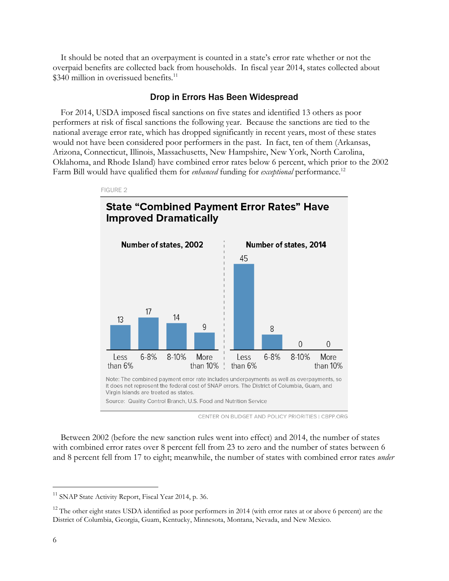It should be noted that an overpayment is counted in a state's error rate whether or not the overpaid benefits are collected back from households. In fiscal year 2014, states collected about  $$340$  million in overissued benefits.<sup>11</sup>

#### Drop in Errors Has Been Widespread

For 2014, USDA imposed fiscal sanctions on five states and identified 13 others as poor performers at risk of fiscal sanctions the following year. Because the sanctions are tied to the national average error rate, which has dropped significantly in recent years, most of these states would not have been considered poor performers in the past. In fact, ten of them (Arkansas, Arizona, Connecticut, Illinois, Massachusetts, New Hampshire, New York, North Carolina, Oklahoma, and Rhode Island) have combined error rates below 6 percent, which prior to the 2002 Farm Bill would have qualified them for *enhanced* funding for *exceptional* performance.<sup>12</sup>



CENTER ON BUDGET AND POLICY PRIORITIES | CBPP.ORG

Between 2002 (before the new sanction rules went into effect) and 2014, the number of states with combined error rates over 8 percent fell from 23 to zero and the number of states between 6 and 8 percent fell from 17 to eight; meanwhile, the number of states with combined error rates *under*

<sup>&</sup>lt;sup>11</sup> SNAP State Activity Report, Fiscal Year 2014, p. 36.

 $12$  The other eight states USDA identified as poor performers in 2014 (with error rates at or above 6 percent) are the District of Columbia, Georgia, Guam, Kentucky, Minnesota, Montana, Nevada, and New Mexico.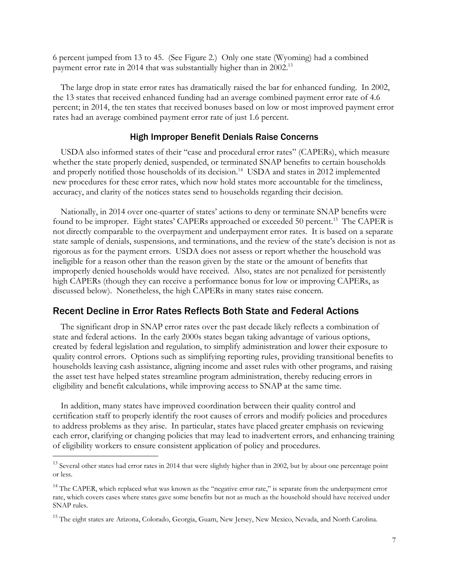6 percent jumped from 13 to 45. (See Figure 2.) Only one state (Wyoming) had a combined payment error rate in 2014 that was substantially higher than in 2002.<sup>13</sup>

The large drop in state error rates has dramatically raised the bar for enhanced funding. In 2002, the 13 states that received enhanced funding had an average combined payment error rate of 4.6 percent; in 2014, the ten states that received bonuses based on low or most improved payment error rates had an average combined payment error rate of just 1.6 percent.

#### High Improper Benefit Denials Raise Concerns

USDA also informed states of their "case and procedural error rates" (CAPERs), which measure whether the state properly denied, suspended, or terminated SNAP benefits to certain households and properly notified those households of its decision.<sup>14</sup> USDA and states in 2012 implemented new procedures for these error rates, which now hold states more accountable for the timeliness, accuracy, and clarity of the notices states send to households regarding their decision.

Nationally, in 2014 over one-quarter of states' actions to deny or terminate SNAP benefits were found to be improper. Eight states' CAPERs approached or exceeded 50 percent.<sup>15</sup> The CAPER is not directly comparable to the overpayment and underpayment error rates. It is based on a separate state sample of denials, suspensions, and terminations, and the review of the state's decision is not as rigorous as for the payment errors. USDA does not assess or report whether the household was ineligible for a reason other than the reason given by the state or the amount of benefits that improperly denied households would have received. Also, states are not penalized for persistently high CAPERs (though they can receive a performance bonus for low or improving CAPERs, as discussed below). Nonetheless, the high CAPERs in many states raise concern.

## Recent Decline in Error Rates Reflects Both State and Federal Actions

The significant drop in SNAP error rates over the past decade likely reflects a combination of state and federal actions. In the early 2000s states began taking advantage of various options, created by federal legislation and regulation, to simplify administration and lower their exposure to quality control errors. Options such as simplifying reporting rules, providing transitional benefits to households leaving cash assistance, aligning income and asset rules with other programs, and raising the asset test have helped states streamline program administration, thereby reducing errors in eligibility and benefit calculations, while improving access to SNAP at the same time.

In addition, many states have improved coordination between their quality control and certification staff to properly identify the root causes of errors and modify policies and procedures to address problems as they arise. In particular, states have placed greater emphasis on reviewing each error, clarifying or changing policies that may lead to inadvertent errors, and enhancing training of eligibility workers to ensure consistent application of policy and procedures.

<sup>&</sup>lt;sup>13</sup> Several other states had error rates in 2014 that were slightly higher than in 2002, but by about one percentage point or less.

<sup>&</sup>lt;sup>14</sup> The CAPER, which replaced what was known as the "negative error rate," is separate from the underpayment error rate, which covers cases where states gave some benefits but not as much as the household should have received under SNAP rules.

<sup>&</sup>lt;sup>15</sup> The eight states are Arizona, Colorado, Georgia, Guam, New Jersey, New Mexico, Nevada, and North Carolina.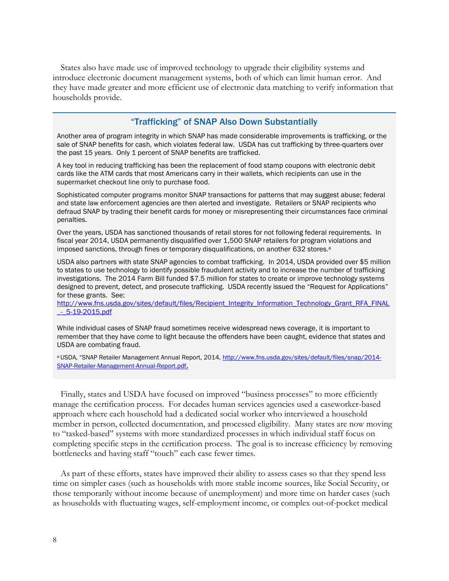States also have made use of improved technology to upgrade their eligibility systems and introduce electronic document management systems, both of which can limit human error. And they have made greater and more efficient use of electronic data matching to verify information that households provide.

## "Trafficking" of SNAP Also Down Substantially

Another area of program integrity in which SNAP has made considerable improvements is trafficking, or the sale of SNAP benefits for cash, which violates federal law. USDA has cut trafficking by three-quarters over the past 15 years. Only 1 percent of SNAP benefits are trafficked.

A key tool in reducing trafficking has been the replacement of food stamp coupons with electronic debit cards like the ATM cards that most Americans carry in their wallets, which recipients can use in the supermarket checkout line only to purchase food.

Sophisticated computer programs monitor SNAP transactions for patterns that may suggest abuse; federal and state law enforcement agencies are then alerted and investigate. Retailers or SNAP recipients who defraud SNAP by trading their benefit cards for money or misrepresenting their circumstances face criminal penalties.

Over the years, USDA has sanctioned thousands of retail stores for not following federal requirements. In fiscal year 2014, USDA permanently disqualified over 1,500 SNAP retailers for program violations and imposed sanctions, through fines or temporary disqualifications, on another 632 stores.<sup>a</sup>

USDA also partners with state SNAP agencies to combat trafficking. In 2014, USDA provided over \$5 million to states to use technology to identify possible fraudulent activity and to increase the number of trafficking investigations. The 2014 Farm Bill funded \$7.5 million for states to create or improve technology systems designed to prevent, detect, and prosecute trafficking. USDA recently issued the "Request for Applications" for these grants. See:

[http://www.fns.usda.gov/sites/default/files/Recipient\\_Integrity\\_Information\\_Technology\\_Grant\\_RFA\\_FINAL](http://www.fns.usda.gov/sites/default/files/Recipient_Integrity_Information_Technology_Grant_RFA_FINAL_-_5-19-2015.pdf) [\\_-\\_5-19-2015.pdf](http://www.fns.usda.gov/sites/default/files/Recipient_Integrity_Information_Technology_Grant_RFA_FINAL_-_5-19-2015.pdf)

While individual cases of SNAP fraud sometimes receive widespread news coverage, it is important to remember that they have come to light because the offenders have been caught, evidence that states and USDA are combating fraud.

aUSDA, "SNAP Retailer Management Annual Report, 2014, [http://www.fns.usda.gov/sites/default/files/snap/2014-](http://www.fns.usda.gov/sites/default/files/snap/2014-SNAP-Retailer-Management-Annual-Report.pdf) [SNAP-Retailer-Management-Annual-Report.pdf](http://www.fns.usda.gov/sites/default/files/snap/2014-SNAP-Retailer-Management-Annual-Report.pdf).

Finally, states and USDA have focused on improved "business processes" to more efficiently manage the certification process. For decades human services agencies used a caseworker-based approach where each household had a dedicated social worker who interviewed a household member in person, collected documentation, and processed eligibility. Many states are now moving to "tasked-based" systems with more standardized processes in which individual staff focus on completing specific steps in the certification process. The goal is to increase efficiency by removing bottlenecks and having staff "touch" each case fewer times.

As part of these efforts, states have improved their ability to assess cases so that they spend less time on simpler cases (such as households with more stable income sources, like Social Security, or those temporarily without income because of unemployment) and more time on harder cases (such as households with fluctuating wages, self-employment income, or complex out-of-pocket medical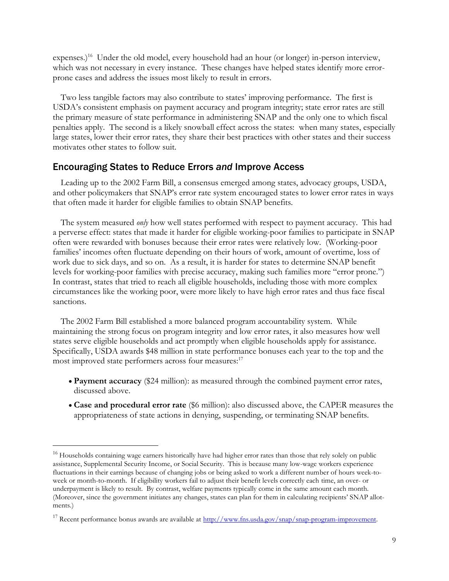expenses.)<sup>16</sup> Under the old model, every household had an hour (or longer) in-person interview, which was not necessary in every instance. These changes have helped states identify more errorprone cases and address the issues most likely to result in errors.

Two less tangible factors may also contribute to states' improving performance. The first is USDA's consistent emphasis on payment accuracy and program integrity; state error rates are still the primary measure of state performance in administering SNAP and the only one to which fiscal penalties apply. The second is a likely snowball effect across the states: when many states, especially large states, lower their error rates, they share their best practices with other states and their success motivates other states to follow suit.

## Encouraging States to Reduce Errors *and* Improve Access

Leading up to the 2002 Farm Bill, a consensus emerged among states, advocacy groups, USDA, and other policymakers that SNAP's error rate system encouraged states to lower error rates in ways that often made it harder for eligible families to obtain SNAP benefits.

The system measured *only* how well states performed with respect to payment accuracy. This had a perverse effect: states that made it harder for eligible working-poor families to participate in SNAP often were rewarded with bonuses because their error rates were relatively low. (Working-poor families' incomes often fluctuate depending on their hours of work, amount of overtime, loss of work due to sick days, and so on. As a result, it is harder for states to determine SNAP benefit levels for working-poor families with precise accuracy, making such families more "error prone.") In contrast, states that tried to reach all eligible households, including those with more complex circumstances like the working poor, were more likely to have high error rates and thus face fiscal sanctions.

The 2002 Farm Bill established a more balanced program accountability system. While maintaining the strong focus on program integrity and low error rates, it also measures how well states serve eligible households and act promptly when eligible households apply for assistance. Specifically, USDA awards \$48 million in state performance bonuses each year to the top and the most improved state performers across four measures:<sup>17</sup>

- **Payment accuracy** (\$24 million): as measured through the combined payment error rates, discussed above.
- **Case and procedural error rate** (\$6 million): also discussed above, the CAPER measures the appropriateness of state actions in denying, suspending, or terminating SNAP benefits.

<sup>&</sup>lt;sup>16</sup> Households containing wage earners historically have had higher error rates than those that rely solely on public assistance, Supplemental Security Income, or Social Security. This is because many low-wage workers experience fluctuations in their earnings because of changing jobs or being asked to work a different number of hours week-toweek or month-to-month. If eligibility workers fail to adjust their benefit levels correctly each time, an over- or underpayment is likely to result. By contrast, welfare payments typically come in the same amount each month. (Moreover, since the government initiates any changes, states can plan for them in calculating recipients' SNAP allotments.)

<sup>&</sup>lt;sup>17</sup> Recent performance bonus awards are available at [http://www.fns.usda.gov/snap/snap-program-improvement.](http://www.fns.usda.gov/snap/snap-program-improvement)